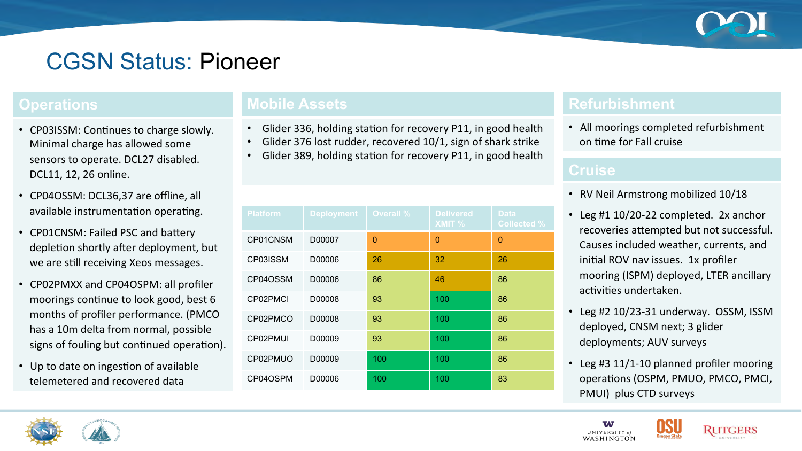

# CGSN Status: Pioneer

#### **Operations**

- CP03ISSM: Continues to charge slowly. Minimal charge has allowed some sensors to operate. DCL27 disabled. DCL11, 12, 26 online.
- CP04OSSM: DCL36,37 are offline, all available instrumentation operating.
- CP01CNSM: Failed PSC and battery depletion shortly after deployment, but we are still receiving Xeos messages.
- CP02PMXX and CP04OSPM: all profiler moorings continue to look good, best 6 months of profiler performance. (PMCO has a 10m delta from normal, possible signs of fouling but continued operation).
- Up to date on ingestion of available telemetered and recovered data

## **Mobile Assets**

- Glider 336, holding station for recovery P11, in good health
- Glider 376 lost rudder, recovered 10/1, sign of shark strike
- Glider 389, holding station for recovery P11, in good health

| <b>Platform</b> | <b>Deployment</b> | <b>Overall %</b> | <b>Delivered</b><br>XMIT % | <b>Data</b><br><b>Collected %</b> |
|-----------------|-------------------|------------------|----------------------------|-----------------------------------|
| CP01CNSM        | D00007            | $\overline{0}$   | $\mathbf{0}$               | $\overline{0}$                    |
| CP03ISSM        | D00006            | 26               | 32                         | 26                                |
| CP04OSSM        | D00006            | 86               | 46                         | 86                                |
| CP02PMCI        | D00008            | 93               | 100                        | 86                                |
| CP02PMCO        | D00008            | 93               | 100                        | 86                                |
| CP02PMUI        | D00009            | 93               | 100                        | 86                                |
| CP02PMUO        | D00009            | 100              | 100                        | 86                                |
| CP04OSPM        | D00006            | 100              | 100                        | 83                                |

### **Refurbishment**

• All moorings completed refurbishment on time for Fall cruise

#### **Cruise**

- RV Neil Armstrong mobilized 10/18
- Leg #1 10/20-22 completed. 2x anchor recoveries attempted but not successful. Causes included weather, currents, and initial ROV nav issues. 1x profiler mooring (ISPM) deployed, LTER ancillary activities undertaken.
- Leg #2 10/23-31 underway. OSSM, ISSM deployed, CNSM next; 3 glider deployments; AUV surveys
- Leg #3 11/1-10 planned profiler mooring operations (OSPM, PMUO, PMCO, PMCI, PMUI) plus CTD surveys





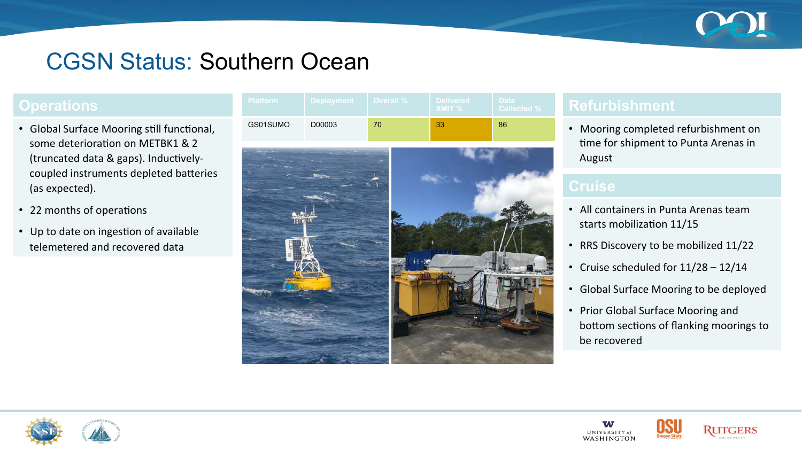

## CGSN Status: Southern Ocean

### **Operations**

- Global Surface Mooring still functional, some deterioration on METBK1 & 2 (truncated data  $&$  gaps). Inductivelycoupled instruments depleted batteries (as expected).
- 22 months of operations
- Up to date on ingestion of available telemetered and recovered data

| ∣ Platform ≀ | <b>Deployment</b> | <b>Overall</b> % | <b>Delivered</b><br>$\lambda$ MIT % | <b>Data</b><br>/ Collected %⊥ |
|--------------|-------------------|------------------|-------------------------------------|-------------------------------|
| GS01SUMO     | D00003            |                  | 33                                  | 86                            |



### **Refurbishment**

• Mooring completed refurbishment on time for shipment to Punta Arenas in August 

- All containers in Punta Arenas team starts mobilization 11/15
- RRS Discovery to be mobilized 11/22
- Cruise scheduled for  $11/28 12/14$
- Global Surface Mooring to be deployed
- Prior Global Surface Mooring and bottom sections of flanking moorings to be recovered





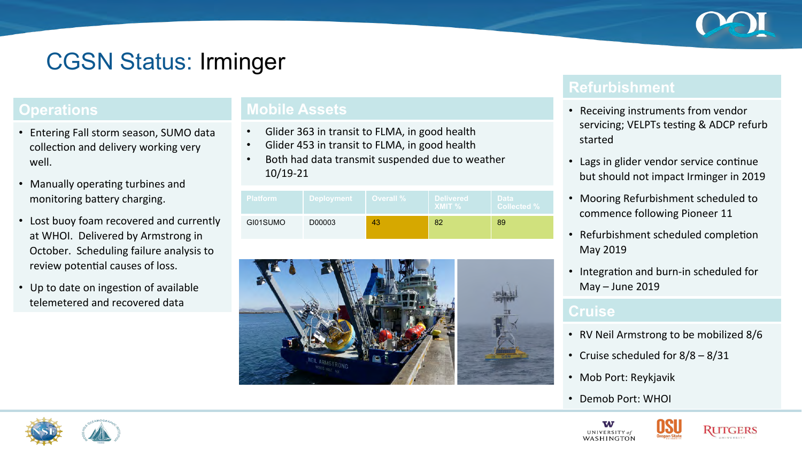

# CGSN Status: Irminger

### **Operations**

- Entering Fall storm season, SUMO data collection and delivery working very well.
- Manually operating turbines and monitoring battery charging.
- Lost buoy foam recovered and currently at WHOI. Delivered by Armstrong in October. Scheduling failure analysis to review potential causes of loss.
- Up to date on ingestion of available telemetered and recovered data

### **Mobile Assets**

- Glider 363 in transit to FLMA, in good health
- Glider 453 in transit to FLMA, in good health
- Both had data transmit suspended due to weather 10/19-21

| <b>Platform</b> | ∣ Deployment ∣ | <b>Overall %</b> | <b>Delivered</b><br>$X$ MIT % | <b>Data</b><br><b>Collected %</b> । |
|-----------------|----------------|------------------|-------------------------------|-------------------------------------|
| GI01SUMO        | D00003         | 43               | 82                            | 89                                  |



### **Refurbishment**

- Receiving instruments from vendor servicing; VELPTs testing & ADCP refurb started
- Lags in glider vendor service continue but should not impact Irminger in 2019
- Mooring Refurbishment scheduled to commence following Pioneer 11
- Refurbishment scheduled completion May 2019
- Integration and burn-in scheduled for  $May - June 2019$

#### **Cruise**

- RV Neil Armstrong to be mobilized 8/6
- Cruise scheduled for  $8/8 8/31$
- Mob Port: Reykjavik
- Demob Port: WHOI